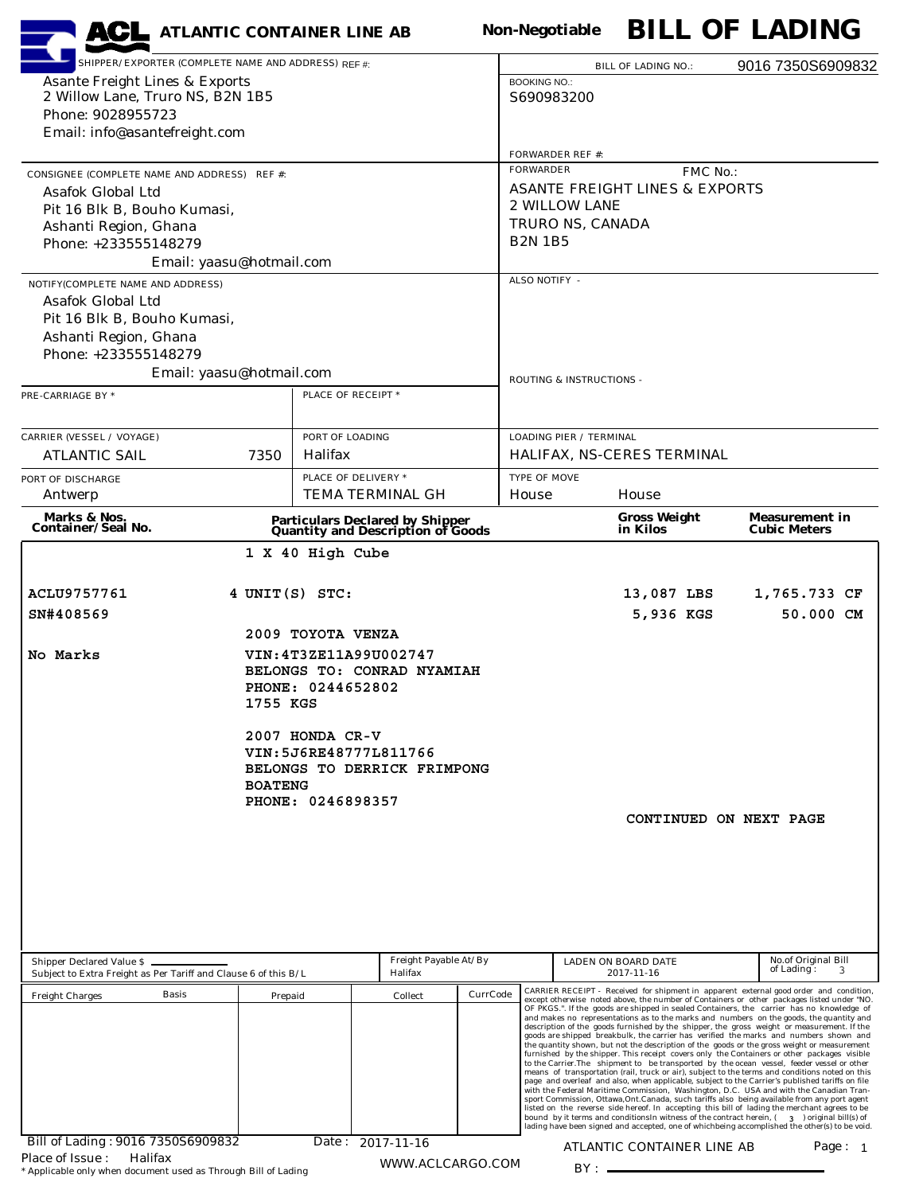| SHIPPER/EXPORTER (COMPLETE NAME AND ADDRESS) RFF #<br>9016 7350S6909832<br><b>BILL OF LADING NO.:</b><br><b>Asante Freight Lines &amp; Exports</b><br><b>BOOKING NO.:</b><br>2 Willow Lane, Truro NS, B2N 1B5<br>S690983200<br>Phone: 9028955723<br>Email: info@asantefreight.com<br><b>FORWARDER REF #:</b><br><b>FORWARDER</b><br>FMC No.:<br>CONSIGNEE (COMPLETE NAME AND ADDRESS) REF #:<br><b>ASANTE FREIGHT LINES &amp; EXPORTS</b><br>Asafok Global Ltd<br>2 WILLOW LANE<br>Pit 16 Blk B, Bouho Kumasi,<br>TRURO NS, CANADA<br>Ashanti Region, Ghana<br><b>B2N 1B5</b><br>Phone: +233555148279<br>Email: yaasu@hotmail.com<br>ALSO NOTIFY -<br>NOTIFY(COMPLETE NAME AND ADDRESS)<br>Asafok Global Ltd<br>Pit 16 Blk B, Bouho Kumasi,<br>Ashanti Region, Ghana<br>Phone: +233555148279<br>Email: yaasu@hotmail.com<br>ROUTING & INSTRUCTIONS -<br>PLACE OF RECEIPT *<br>PORT OF LOADING<br><b>LOADING PIER / TERMINAL</b><br>Halifax<br>HALIFAX, NS-CERES TERMINAL<br><b>ATLANTIC SAIL</b><br>7350<br>PLACE OF DELIVERY *<br><b>TYPE OF MOVE</b><br><b>TEMA TERMINAL GH</b><br>House<br>House<br>Antwerp<br>Marks & Nos.<br><b>Gross Weight</b><br><b>Measurement in</b><br><b>Particulars Declared by Shipper<br/>Quantity and Description of Goods</b><br><b>Container/Seal No.</b><br>in Kilos<br><b>Cubic Meters</b><br>1 X 40 High Cube<br>ACLU9757761<br>4 UNIT(S) STC:<br>13,087 LBS<br>1,765.733 CF<br>SN#408569<br>5,936 KGS<br>50.000 CM<br>2009 TOYOTA VENZA<br>VIN: 4T3ZE11A99U002747<br>No Marks<br>BELONGS TO: CONRAD NYAMIAH<br>PHONE: 0244652802<br>1755 KGS<br>2007 HONDA CR-V<br>VIN: 5J6RE48777L811766<br>BELONGS TO DERRICK FRIMPONG<br><b>BOATENG</b><br>PHONE: 0246898357<br>CONTINUED ON NEXT PAGE<br>Freight Payable At/By<br>No.of Original Bill<br>Shipper Declared Value \$<br>LADEN ON BOARD DATE<br>of Lading:<br>Subject to Extra Freight as Per Tariff and Clause 6 of this B/L<br>Halifax<br>2017-11-16<br>CARRIER RECEIPT - Received for shipment in apparent external good order and condition,<br>CurrCode<br><b>Basis</b><br>Collect<br><b>Freight Charges</b><br>Prepaid<br>except otherwise noted above, the number of Containers or other packages listed under "NO.<br>OF PKGS.". If the goods are shipped in sealed Containers, the carrier has no knowledge of<br>and makes no representations as to the marks and numbers on the goods, the quantity and<br>description of the goods furnished by the shipper, the gross weight or measurement. If the<br>goods are shipped breakbulk, the carrier has verified the marks and numbers shown and<br>the quantity shown, but not the description of the goods or the gross weight or measurement<br>furnished by the shipper. This receipt covers only the Containers or other packages visible<br>to the Carrier. The shipment to be transported by the ocean vessel, feeder vessel or other<br>means of transportation (rail, truck or air), subject to the terms and conditions noted on this<br>page and overleaf and also, when applicable, subject to the Carrier's published tariffs on file<br>with the Federal Maritime Commission, Washington, D.C. USA and with the Canadian Tran-<br>sport Commission, Ottawa, Ont. Canada, such tariffs also being available from any port agent<br>listed on the reverse side hereof. In accepting this bill of lading the merchant agrees to be<br>bound by it terms and conditions<br>In witness of the contract herein, $(3)$ original bill(s) of<br>lading have been signed and accepted, one of whichbeing accomplished the other(s) to be void.<br>Bill of Lading: 9016 7350S6909832<br>Date: 2017-11-16<br>ATLANTIC CONTAINER LINE AB<br>Page: $1$<br>Halifax |                                  | <b>ACL</b> ATLANTIC CONTAINER LINE AB |  |  |  | <b>Non-Negotiable</b> |  |  | <b>BILL OF LADING</b> |  |
|-------------------------------------------------------------------------------------------------------------------------------------------------------------------------------------------------------------------------------------------------------------------------------------------------------------------------------------------------------------------------------------------------------------------------------------------------------------------------------------------------------------------------------------------------------------------------------------------------------------------------------------------------------------------------------------------------------------------------------------------------------------------------------------------------------------------------------------------------------------------------------------------------------------------------------------------------------------------------------------------------------------------------------------------------------------------------------------------------------------------------------------------------------------------------------------------------------------------------------------------------------------------------------------------------------------------------------------------------------------------------------------------------------------------------------------------------------------------------------------------------------------------------------------------------------------------------------------------------------------------------------------------------------------------------------------------------------------------------------------------------------------------------------------------------------------------------------------------------------------------------------------------------------------------------------------------------------------------------------------------------------------------------------------------------------------------------------------------------------------------------------------------------------------------------------------------------------------------------------------------------------------------------------------------------------------------------------------------------------------------------------------------------------------------------------------------------------------------------------------------------------------------------------------------------------------------------------------------------------------------------------------------------------------------------------------------------------------------------------------------------------------------------------------------------------------------------------------------------------------------------------------------------------------------------------------------------------------------------------------------------------------------------------------------------------------------------------------------------------------------------------------------------------------------------------------------------------------------------------------------------------------------------------------------------------------------------------------------------------------------------------------------------------------------------------------------------------------------------------------------------------------------------------------------------------------------------------------------------------------------------------------------------------------------------------------------------------------------|----------------------------------|---------------------------------------|--|--|--|-----------------------|--|--|-----------------------|--|
|                                                                                                                                                                                                                                                                                                                                                                                                                                                                                                                                                                                                                                                                                                                                                                                                                                                                                                                                                                                                                                                                                                                                                                                                                                                                                                                                                                                                                                                                                                                                                                                                                                                                                                                                                                                                                                                                                                                                                                                                                                                                                                                                                                                                                                                                                                                                                                                                                                                                                                                                                                                                                                                                                                                                                                                                                                                                                                                                                                                                                                                                                                                                                                                                                                                                                                                                                                                                                                                                                                                                                                                                                                                                                                                   |                                  |                                       |  |  |  |                       |  |  |                       |  |
|                                                                                                                                                                                                                                                                                                                                                                                                                                                                                                                                                                                                                                                                                                                                                                                                                                                                                                                                                                                                                                                                                                                                                                                                                                                                                                                                                                                                                                                                                                                                                                                                                                                                                                                                                                                                                                                                                                                                                                                                                                                                                                                                                                                                                                                                                                                                                                                                                                                                                                                                                                                                                                                                                                                                                                                                                                                                                                                                                                                                                                                                                                                                                                                                                                                                                                                                                                                                                                                                                                                                                                                                                                                                                                                   |                                  |                                       |  |  |  |                       |  |  |                       |  |
|                                                                                                                                                                                                                                                                                                                                                                                                                                                                                                                                                                                                                                                                                                                                                                                                                                                                                                                                                                                                                                                                                                                                                                                                                                                                                                                                                                                                                                                                                                                                                                                                                                                                                                                                                                                                                                                                                                                                                                                                                                                                                                                                                                                                                                                                                                                                                                                                                                                                                                                                                                                                                                                                                                                                                                                                                                                                                                                                                                                                                                                                                                                                                                                                                                                                                                                                                                                                                                                                                                                                                                                                                                                                                                                   |                                  |                                       |  |  |  |                       |  |  |                       |  |
|                                                                                                                                                                                                                                                                                                                                                                                                                                                                                                                                                                                                                                                                                                                                                                                                                                                                                                                                                                                                                                                                                                                                                                                                                                                                                                                                                                                                                                                                                                                                                                                                                                                                                                                                                                                                                                                                                                                                                                                                                                                                                                                                                                                                                                                                                                                                                                                                                                                                                                                                                                                                                                                                                                                                                                                                                                                                                                                                                                                                                                                                                                                                                                                                                                                                                                                                                                                                                                                                                                                                                                                                                                                                                                                   |                                  |                                       |  |  |  |                       |  |  |                       |  |
|                                                                                                                                                                                                                                                                                                                                                                                                                                                                                                                                                                                                                                                                                                                                                                                                                                                                                                                                                                                                                                                                                                                                                                                                                                                                                                                                                                                                                                                                                                                                                                                                                                                                                                                                                                                                                                                                                                                                                                                                                                                                                                                                                                                                                                                                                                                                                                                                                                                                                                                                                                                                                                                                                                                                                                                                                                                                                                                                                                                                                                                                                                                                                                                                                                                                                                                                                                                                                                                                                                                                                                                                                                                                                                                   | <b>PRE-CARRIAGE BY *</b>         |                                       |  |  |  |                       |  |  |                       |  |
|                                                                                                                                                                                                                                                                                                                                                                                                                                                                                                                                                                                                                                                                                                                                                                                                                                                                                                                                                                                                                                                                                                                                                                                                                                                                                                                                                                                                                                                                                                                                                                                                                                                                                                                                                                                                                                                                                                                                                                                                                                                                                                                                                                                                                                                                                                                                                                                                                                                                                                                                                                                                                                                                                                                                                                                                                                                                                                                                                                                                                                                                                                                                                                                                                                                                                                                                                                                                                                                                                                                                                                                                                                                                                                                   | <b>CARRIER (VESSEL / VOYAGE)</b> |                                       |  |  |  |                       |  |  |                       |  |
|                                                                                                                                                                                                                                                                                                                                                                                                                                                                                                                                                                                                                                                                                                                                                                                                                                                                                                                                                                                                                                                                                                                                                                                                                                                                                                                                                                                                                                                                                                                                                                                                                                                                                                                                                                                                                                                                                                                                                                                                                                                                                                                                                                                                                                                                                                                                                                                                                                                                                                                                                                                                                                                                                                                                                                                                                                                                                                                                                                                                                                                                                                                                                                                                                                                                                                                                                                                                                                                                                                                                                                                                                                                                                                                   |                                  |                                       |  |  |  |                       |  |  |                       |  |
|                                                                                                                                                                                                                                                                                                                                                                                                                                                                                                                                                                                                                                                                                                                                                                                                                                                                                                                                                                                                                                                                                                                                                                                                                                                                                                                                                                                                                                                                                                                                                                                                                                                                                                                                                                                                                                                                                                                                                                                                                                                                                                                                                                                                                                                                                                                                                                                                                                                                                                                                                                                                                                                                                                                                                                                                                                                                                                                                                                                                                                                                                                                                                                                                                                                                                                                                                                                                                                                                                                                                                                                                                                                                                                                   | PORT OF DISCHARGE                |                                       |  |  |  |                       |  |  |                       |  |
|                                                                                                                                                                                                                                                                                                                                                                                                                                                                                                                                                                                                                                                                                                                                                                                                                                                                                                                                                                                                                                                                                                                                                                                                                                                                                                                                                                                                                                                                                                                                                                                                                                                                                                                                                                                                                                                                                                                                                                                                                                                                                                                                                                                                                                                                                                                                                                                                                                                                                                                                                                                                                                                                                                                                                                                                                                                                                                                                                                                                                                                                                                                                                                                                                                                                                                                                                                                                                                                                                                                                                                                                                                                                                                                   |                                  |                                       |  |  |  |                       |  |  |                       |  |
|                                                                                                                                                                                                                                                                                                                                                                                                                                                                                                                                                                                                                                                                                                                                                                                                                                                                                                                                                                                                                                                                                                                                                                                                                                                                                                                                                                                                                                                                                                                                                                                                                                                                                                                                                                                                                                                                                                                                                                                                                                                                                                                                                                                                                                                                                                                                                                                                                                                                                                                                                                                                                                                                                                                                                                                                                                                                                                                                                                                                                                                                                                                                                                                                                                                                                                                                                                                                                                                                                                                                                                                                                                                                                                                   |                                  |                                       |  |  |  |                       |  |  |                       |  |
|                                                                                                                                                                                                                                                                                                                                                                                                                                                                                                                                                                                                                                                                                                                                                                                                                                                                                                                                                                                                                                                                                                                                                                                                                                                                                                                                                                                                                                                                                                                                                                                                                                                                                                                                                                                                                                                                                                                                                                                                                                                                                                                                                                                                                                                                                                                                                                                                                                                                                                                                                                                                                                                                                                                                                                                                                                                                                                                                                                                                                                                                                                                                                                                                                                                                                                                                                                                                                                                                                                                                                                                                                                                                                                                   |                                  |                                       |  |  |  |                       |  |  |                       |  |
|                                                                                                                                                                                                                                                                                                                                                                                                                                                                                                                                                                                                                                                                                                                                                                                                                                                                                                                                                                                                                                                                                                                                                                                                                                                                                                                                                                                                                                                                                                                                                                                                                                                                                                                                                                                                                                                                                                                                                                                                                                                                                                                                                                                                                                                                                                                                                                                                                                                                                                                                                                                                                                                                                                                                                                                                                                                                                                                                                                                                                                                                                                                                                                                                                                                                                                                                                                                                                                                                                                                                                                                                                                                                                                                   |                                  |                                       |  |  |  |                       |  |  |                       |  |
|                                                                                                                                                                                                                                                                                                                                                                                                                                                                                                                                                                                                                                                                                                                                                                                                                                                                                                                                                                                                                                                                                                                                                                                                                                                                                                                                                                                                                                                                                                                                                                                                                                                                                                                                                                                                                                                                                                                                                                                                                                                                                                                                                                                                                                                                                                                                                                                                                                                                                                                                                                                                                                                                                                                                                                                                                                                                                                                                                                                                                                                                                                                                                                                                                                                                                                                                                                                                                                                                                                                                                                                                                                                                                                                   |                                  |                                       |  |  |  |                       |  |  |                       |  |
| WWW.ACLCARGO.COM                                                                                                                                                                                                                                                                                                                                                                                                                                                                                                                                                                                                                                                                                                                                                                                                                                                                                                                                                                                                                                                                                                                                                                                                                                                                                                                                                                                                                                                                                                                                                                                                                                                                                                                                                                                                                                                                                                                                                                                                                                                                                                                                                                                                                                                                                                                                                                                                                                                                                                                                                                                                                                                                                                                                                                                                                                                                                                                                                                                                                                                                                                                                                                                                                                                                                                                                                                                                                                                                                                                                                                                                                                                                                                  | Place of Issue:                  |                                       |  |  |  |                       |  |  |                       |  |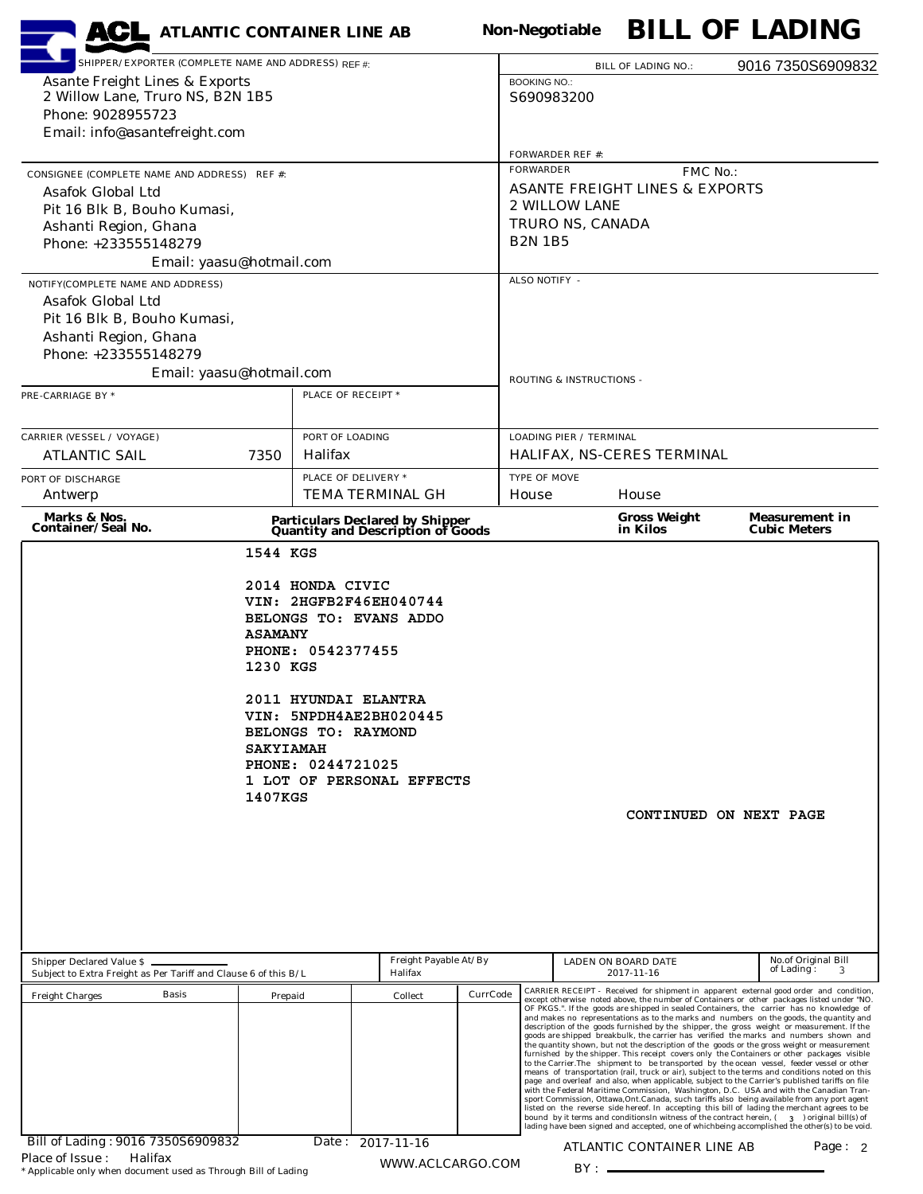| <b>ACL</b> ATLANTIC CONTAINER LINE AB                                                              |                                                                 |                                                                         |                                                                             |          | <b>BILL OF LADING</b><br><b>Non-Negotiable</b> |                                              |                                                                                                                                                                                                                                                                                                                                                                                                                                                                                                                                                                                                                                                                                                                                                                                                                                                                                                                                                                                                                                                                                                                                                                                                                                                                              |  |  |                               |  |
|----------------------------------------------------------------------------------------------------|-----------------------------------------------------------------|-------------------------------------------------------------------------|-----------------------------------------------------------------------------|----------|------------------------------------------------|----------------------------------------------|------------------------------------------------------------------------------------------------------------------------------------------------------------------------------------------------------------------------------------------------------------------------------------------------------------------------------------------------------------------------------------------------------------------------------------------------------------------------------------------------------------------------------------------------------------------------------------------------------------------------------------------------------------------------------------------------------------------------------------------------------------------------------------------------------------------------------------------------------------------------------------------------------------------------------------------------------------------------------------------------------------------------------------------------------------------------------------------------------------------------------------------------------------------------------------------------------------------------------------------------------------------------------|--|--|-------------------------------|--|
|                                                                                                    | SHIPPER/EXPORTER (COMPLETE NAME AND ADDRESS) REF #:             |                                                                         |                                                                             |          |                                                | <b>BILL OF LADING NO.:</b>                   | 9016 7350S6909832                                                                                                                                                                                                                                                                                                                                                                                                                                                                                                                                                                                                                                                                                                                                                                                                                                                                                                                                                                                                                                                                                                                                                                                                                                                            |  |  |                               |  |
| <b>Asante Freight Lines &amp; Exports</b><br>2 Willow Lane, Truro NS, B2N 1B5<br>Phone: 9028955723 |                                                                 |                                                                         |                                                                             |          | <b>BOOKING NO.:</b><br>S690983200              |                                              |                                                                                                                                                                                                                                                                                                                                                                                                                                                                                                                                                                                                                                                                                                                                                                                                                                                                                                                                                                                                                                                                                                                                                                                                                                                                              |  |  |                               |  |
|                                                                                                    |                                                                 |                                                                         |                                                                             |          |                                                |                                              |                                                                                                                                                                                                                                                                                                                                                                                                                                                                                                                                                                                                                                                                                                                                                                                                                                                                                                                                                                                                                                                                                                                                                                                                                                                                              |  |  | Email: info@asantefreight.com |  |
|                                                                                                    |                                                                 |                                                                         |                                                                             |          | <b>FORWARDER REF #:</b>                        |                                              |                                                                                                                                                                                                                                                                                                                                                                                                                                                                                                                                                                                                                                                                                                                                                                                                                                                                                                                                                                                                                                                                                                                                                                                                                                                                              |  |  |                               |  |
|                                                                                                    | CONSIGNEE (COMPLETE NAME AND ADDRESS) REF #:                    |                                                                         |                                                                             |          | <b>FORWARDER</b><br>FMC No.:                   |                                              |                                                                                                                                                                                                                                                                                                                                                                                                                                                                                                                                                                                                                                                                                                                                                                                                                                                                                                                                                                                                                                                                                                                                                                                                                                                                              |  |  |                               |  |
| <b>Asafok Global Ltd</b>                                                                           |                                                                 |                                                                         |                                                                             |          | <b>ASANTE FREIGHT LINES &amp; EXPORTS</b>      |                                              |                                                                                                                                                                                                                                                                                                                                                                                                                                                                                                                                                                                                                                                                                                                                                                                                                                                                                                                                                                                                                                                                                                                                                                                                                                                                              |  |  |                               |  |
| Pit 16 Blk B, Bouho Kumasi,                                                                        |                                                                 |                                                                         |                                                                             |          | 2 WILLOW LANE                                  |                                              |                                                                                                                                                                                                                                                                                                                                                                                                                                                                                                                                                                                                                                                                                                                                                                                                                                                                                                                                                                                                                                                                                                                                                                                                                                                                              |  |  |                               |  |
| Ashanti Region, Ghana                                                                              |                                                                 |                                                                         |                                                                             |          | TRURO NS, CANADA                               |                                              |                                                                                                                                                                                                                                                                                                                                                                                                                                                                                                                                                                                                                                                                                                                                                                                                                                                                                                                                                                                                                                                                                                                                                                                                                                                                              |  |  |                               |  |
| Phone: +233555148279                                                                               |                                                                 |                                                                         |                                                                             |          | <b>B2N 1B5</b>                                 |                                              |                                                                                                                                                                                                                                                                                                                                                                                                                                                                                                                                                                                                                                                                                                                                                                                                                                                                                                                                                                                                                                                                                                                                                                                                                                                                              |  |  |                               |  |
|                                                                                                    | Email: yaasu@hotmail.com                                        |                                                                         |                                                                             |          | ALSO NOTIFY -                                  |                                              |                                                                                                                                                                                                                                                                                                                                                                                                                                                                                                                                                                                                                                                                                                                                                                                                                                                                                                                                                                                                                                                                                                                                                                                                                                                                              |  |  |                               |  |
| NOTIFY(COMPLETE NAME AND ADDRESS)<br><b>Asafok Global Ltd</b>                                      |                                                                 |                                                                         |                                                                             |          |                                                |                                              |                                                                                                                                                                                                                                                                                                                                                                                                                                                                                                                                                                                                                                                                                                                                                                                                                                                                                                                                                                                                                                                                                                                                                                                                                                                                              |  |  |                               |  |
| Pit 16 Blk B, Bouho Kumasi,                                                                        |                                                                 |                                                                         |                                                                             |          |                                                |                                              |                                                                                                                                                                                                                                                                                                                                                                                                                                                                                                                                                                                                                                                                                                                                                                                                                                                                                                                                                                                                                                                                                                                                                                                                                                                                              |  |  |                               |  |
| Ashanti Region, Ghana                                                                              |                                                                 |                                                                         |                                                                             |          |                                                |                                              |                                                                                                                                                                                                                                                                                                                                                                                                                                                                                                                                                                                                                                                                                                                                                                                                                                                                                                                                                                                                                                                                                                                                                                                                                                                                              |  |  |                               |  |
| Phone: +233555148279                                                                               |                                                                 |                                                                         |                                                                             |          |                                                |                                              |                                                                                                                                                                                                                                                                                                                                                                                                                                                                                                                                                                                                                                                                                                                                                                                                                                                                                                                                                                                                                                                                                                                                                                                                                                                                              |  |  |                               |  |
|                                                                                                    | Email: yaasu@hotmail.com                                        |                                                                         |                                                                             |          | ROUTING & INSTRUCTIONS -                       |                                              |                                                                                                                                                                                                                                                                                                                                                                                                                                                                                                                                                                                                                                                                                                                                                                                                                                                                                                                                                                                                                                                                                                                                                                                                                                                                              |  |  |                               |  |
| PRE-CARRIAGE BY *                                                                                  |                                                                 | PLACE OF RECEIPT *                                                      |                                                                             |          |                                                |                                              |                                                                                                                                                                                                                                                                                                                                                                                                                                                                                                                                                                                                                                                                                                                                                                                                                                                                                                                                                                                                                                                                                                                                                                                                                                                                              |  |  |                               |  |
|                                                                                                    |                                                                 |                                                                         |                                                                             |          |                                                |                                              |                                                                                                                                                                                                                                                                                                                                                                                                                                                                                                                                                                                                                                                                                                                                                                                                                                                                                                                                                                                                                                                                                                                                                                                                                                                                              |  |  |                               |  |
| <b>CARRIER (VESSEL / VOYAGE)</b>                                                                   |                                                                 | PORT OF LOADING                                                         |                                                                             |          | <b>LOADING PIER / TERMINAL</b>                 |                                              |                                                                                                                                                                                                                                                                                                                                                                                                                                                                                                                                                                                                                                                                                                                                                                                                                                                                                                                                                                                                                                                                                                                                                                                                                                                                              |  |  |                               |  |
| <b>ATLANTIC SAIL</b>                                                                               | 7350                                                            | <b>Halifax</b>                                                          |                                                                             |          |                                                | HALIFAX, NS-CERES TERMINAL                   |                                                                                                                                                                                                                                                                                                                                                                                                                                                                                                                                                                                                                                                                                                                                                                                                                                                                                                                                                                                                                                                                                                                                                                                                                                                                              |  |  |                               |  |
| PORT OF DISCHARGE                                                                                  |                                                                 | PLACE OF DELIVERY *                                                     |                                                                             |          | TYPE OF MOVE                                   |                                              |                                                                                                                                                                                                                                                                                                                                                                                                                                                                                                                                                                                                                                                                                                                                                                                                                                                                                                                                                                                                                                                                                                                                                                                                                                                                              |  |  |                               |  |
| Antwerp                                                                                            |                                                                 |                                                                         | <b>TEMA TERMINAL GH</b>                                                     |          | House<br>House<br><b>Gross Weight</b>          |                                              |                                                                                                                                                                                                                                                                                                                                                                                                                                                                                                                                                                                                                                                                                                                                                                                                                                                                                                                                                                                                                                                                                                                                                                                                                                                                              |  |  |                               |  |
| Marks & Nos.<br>Container/Seal No.                                                                 |                                                                 |                                                                         | Particulars Declared by Shipper<br><b>Quantity and Description of Goods</b> |          |                                                | <b>Measurement in</b><br><b>Cubic Meters</b> |                                                                                                                                                                                                                                                                                                                                                                                                                                                                                                                                                                                                                                                                                                                                                                                                                                                                                                                                                                                                                                                                                                                                                                                                                                                                              |  |  |                               |  |
|                                                                                                    | 1544 KGS                                                        |                                                                         |                                                                             |          |                                                |                                              |                                                                                                                                                                                                                                                                                                                                                                                                                                                                                                                                                                                                                                                                                                                                                                                                                                                                                                                                                                                                                                                                                                                                                                                                                                                                              |  |  |                               |  |
|                                                                                                    | <b>ASAMANY</b><br>1230 KGS                                      | 2014 HONDA CIVIC<br>PHONE: 0542377455                                   | VIN: 2HGFB2F46EH040744<br>BELONGS TO: EVANS ADDO                            |          |                                                |                                              |                                                                                                                                                                                                                                                                                                                                                                                                                                                                                                                                                                                                                                                                                                                                                                                                                                                                                                                                                                                                                                                                                                                                                                                                                                                                              |  |  |                               |  |
|                                                                                                    | <b>SAKYIAMAH</b><br>1407KGS                                     | <b>2011 HYUNDAI ELANTRA</b><br>BELONGS TO: RAYMOND<br>PHONE: 0244721025 | VIN: 5NPDH4AE2BH020445<br>1 LOT OF PERSONAL EFFECTS                         |          |                                                |                                              | CONTINUED ON NEXT PAGE                                                                                                                                                                                                                                                                                                                                                                                                                                                                                                                                                                                                                                                                                                                                                                                                                                                                                                                                                                                                                                                                                                                                                                                                                                                       |  |  |                               |  |
| Shipper Declared Value \$                                                                          | Subject to Extra Freight as Per Tariff and Clause 6 of this B/L |                                                                         | Freight Payable At/By                                                       |          | LADEN ON BOARD DATE<br>2017-11-16              | No.of Original Bill<br>of Lading:<br>3       |                                                                                                                                                                                                                                                                                                                                                                                                                                                                                                                                                                                                                                                                                                                                                                                                                                                                                                                                                                                                                                                                                                                                                                                                                                                                              |  |  |                               |  |
| <b>Freight Charges</b>                                                                             | <b>Basis</b><br>Prepaid                                         |                                                                         | Collect                                                                     | CurrCode |                                                |                                              | CARRIER RECEIPT - Received for shipment in apparent external good order and condition,<br>except otherwise noted above, the number of Containers or other packages listed under "NO.<br>OF PKGS.". If the goods are shipped in sealed Containers, the carrier has no knowledge of                                                                                                                                                                                                                                                                                                                                                                                                                                                                                                                                                                                                                                                                                                                                                                                                                                                                                                                                                                                            |  |  |                               |  |
|                                                                                                    |                                                                 |                                                                         |                                                                             |          |                                                |                                              | and makes no representations as to the marks and numbers on the goods, the quantity and<br>description of the goods furnished by the shipper, the gross weight or measurement. If the<br>goods are shipped breakbulk, the carrier has verified the marks and numbers shown and<br>the quantity shown, but not the description of the goods or the gross weight or measurement<br>furnished by the shipper. This receipt covers only the Containers or other packages visible<br>to the Carrier.The shipment to be transported by the ocean vessel, feeder vessel or other<br>means of transportation (rail, truck or air), subject to the terms and conditions noted on this<br>page and overleaf and also, when applicable, subject to the Carrier's published tariffs on file<br>with the Federal Maritime Commission, Washington, D.C. USA and with the Canadian Tran-<br>sport Commission, Ottawa, Ont. Canada, such tariffs also being available from any port agent<br>listed on the reverse side hereof. In accepting this bill of lading the merchant agrees to be<br>bound by it terms and conditions In witness of the contract herein, (300) original bill(s) of<br>lading have been signed and accepted, one of whichbeing accomplished the other(s) to be void. |  |  |                               |  |
| Bill of Lading: 9016 7350S6909832                                                                  |                                                                 |                                                                         | Date: 2017-11-16                                                            |          |                                                | ATLANTIC CONTAINER LINE AB                   | Page: 2                                                                                                                                                                                                                                                                                                                                                                                                                                                                                                                                                                                                                                                                                                                                                                                                                                                                                                                                                                                                                                                                                                                                                                                                                                                                      |  |  |                               |  |
| Place of Issue:<br>Halifax                                                                         | * Applicable only when document used as Through Bill of Lading  |                                                                         | WWW.ACLCARGO.COM                                                            |          | $BY:$ —                                        |                                              |                                                                                                                                                                                                                                                                                                                                                                                                                                                                                                                                                                                                                                                                                                                                                                                                                                                                                                                                                                                                                                                                                                                                                                                                                                                                              |  |  |                               |  |

Place of Issue : Halifax<br>\* Applicable only when document used as Through Bill of Lading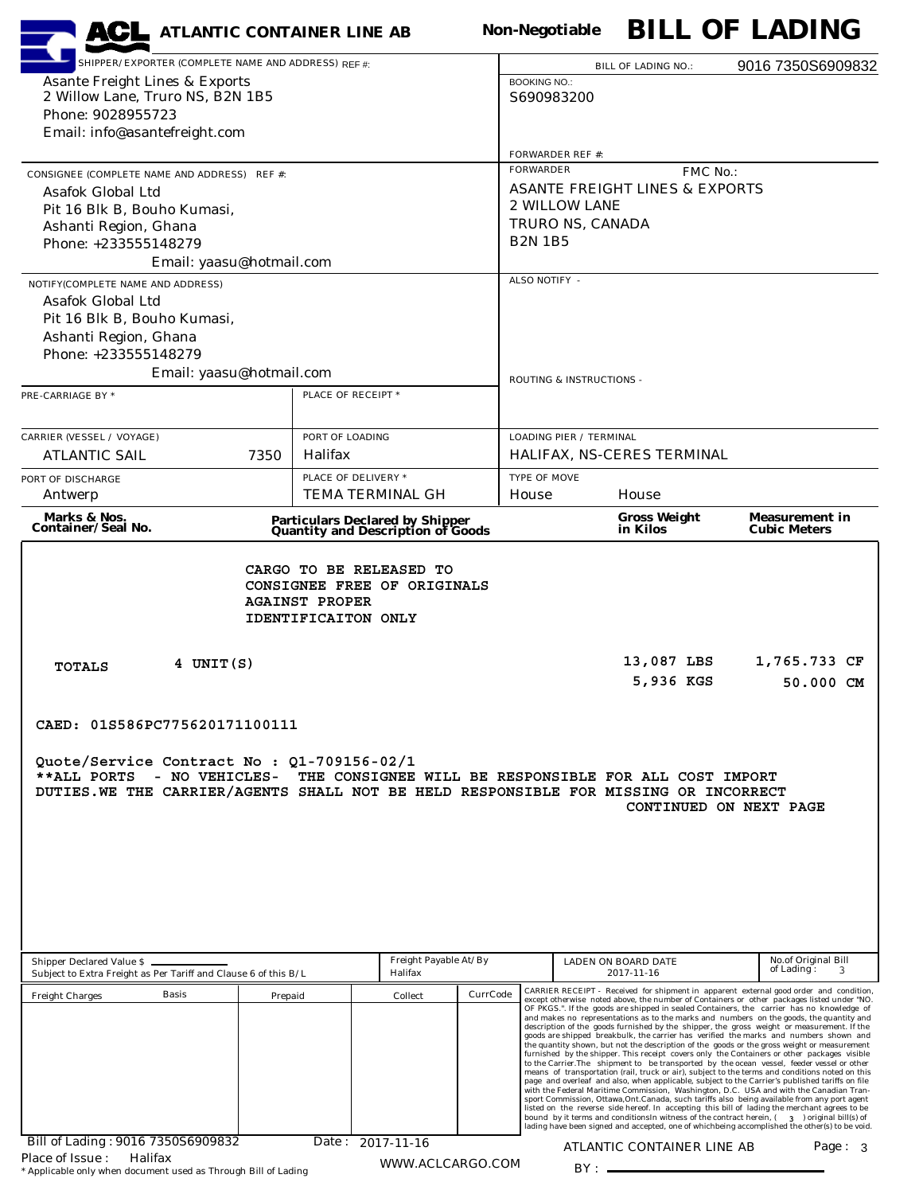| <b>ACL</b> ATLANTIC CONTAINER LINE AB                                                                                                                                                                                                                                                                                                                                                                                               |                                   |                                                                              |                                                 | <b>Non-Negotiable</b>                        |                                           |                     | <b>BILL OF LADING</b>                                                                                                                                                                                                                                                                                                                                                                                                                                                                                                                                                                                                                                                                                                                                                                                                                                                                                                                                                                                                                                                                                                                                                                                                                                                                                                                                                                                                                                                                                                                                             |  |  |  |
|-------------------------------------------------------------------------------------------------------------------------------------------------------------------------------------------------------------------------------------------------------------------------------------------------------------------------------------------------------------------------------------------------------------------------------------|-----------------------------------|------------------------------------------------------------------------------|-------------------------------------------------|----------------------------------------------|-------------------------------------------|---------------------|-------------------------------------------------------------------------------------------------------------------------------------------------------------------------------------------------------------------------------------------------------------------------------------------------------------------------------------------------------------------------------------------------------------------------------------------------------------------------------------------------------------------------------------------------------------------------------------------------------------------------------------------------------------------------------------------------------------------------------------------------------------------------------------------------------------------------------------------------------------------------------------------------------------------------------------------------------------------------------------------------------------------------------------------------------------------------------------------------------------------------------------------------------------------------------------------------------------------------------------------------------------------------------------------------------------------------------------------------------------------------------------------------------------------------------------------------------------------------------------------------------------------------------------------------------------------|--|--|--|
| SHIPPER/EXPORTER (COMPLETE NAME AND ADDRESS) REF #:                                                                                                                                                                                                                                                                                                                                                                                 |                                   |                                                                              | <b>BILL OF LADING NO.:</b>                      |                                              | 9016 7350S6909832                         |                     |                                                                                                                                                                                                                                                                                                                                                                                                                                                                                                                                                                                                                                                                                                                                                                                                                                                                                                                                                                                                                                                                                                                                                                                                                                                                                                                                                                                                                                                                                                                                                                   |  |  |  |
| <b>Asante Freight Lines &amp; Exports</b>                                                                                                                                                                                                                                                                                                                                                                                           |                                   |                                                                              |                                                 | <b>BOOKING NO.:</b>                          |                                           |                     |                                                                                                                                                                                                                                                                                                                                                                                                                                                                                                                                                                                                                                                                                                                                                                                                                                                                                                                                                                                                                                                                                                                                                                                                                                                                                                                                                                                                                                                                                                                                                                   |  |  |  |
| 2 Willow Lane, Truro NS, B2N 1B5<br>Phone: 9028955723                                                                                                                                                                                                                                                                                                                                                                               |                                   |                                                                              |                                                 | S690983200                                   |                                           |                     |                                                                                                                                                                                                                                                                                                                                                                                                                                                                                                                                                                                                                                                                                                                                                                                                                                                                                                                                                                                                                                                                                                                                                                                                                                                                                                                                                                                                                                                                                                                                                                   |  |  |  |
| Email: info@asantefreight.com                                                                                                                                                                                                                                                                                                                                                                                                       |                                   |                                                                              |                                                 |                                              |                                           |                     |                                                                                                                                                                                                                                                                                                                                                                                                                                                                                                                                                                                                                                                                                                                                                                                                                                                                                                                                                                                                                                                                                                                                                                                                                                                                                                                                                                                                                                                                                                                                                                   |  |  |  |
|                                                                                                                                                                                                                                                                                                                                                                                                                                     |                                   |                                                                              |                                                 | <b>FORWARDER REF #:</b>                      |                                           |                     |                                                                                                                                                                                                                                                                                                                                                                                                                                                                                                                                                                                                                                                                                                                                                                                                                                                                                                                                                                                                                                                                                                                                                                                                                                                                                                                                                                                                                                                                                                                                                                   |  |  |  |
| CONSIGNEE (COMPLETE NAME AND ADDRESS) REF #:                                                                                                                                                                                                                                                                                                                                                                                        |                                   |                                                                              |                                                 | <b>FORWARDER</b><br>FMC No.:                 |                                           |                     |                                                                                                                                                                                                                                                                                                                                                                                                                                                                                                                                                                                                                                                                                                                                                                                                                                                                                                                                                                                                                                                                                                                                                                                                                                                                                                                                                                                                                                                                                                                                                                   |  |  |  |
| Asafok Global Ltd                                                                                                                                                                                                                                                                                                                                                                                                                   |                                   |                                                                              |                                                 |                                              | <b>ASANTE FREIGHT LINES &amp; EXPORTS</b> |                     |                                                                                                                                                                                                                                                                                                                                                                                                                                                                                                                                                                                                                                                                                                                                                                                                                                                                                                                                                                                                                                                                                                                                                                                                                                                                                                                                                                                                                                                                                                                                                                   |  |  |  |
| Pit 16 Blk B, Bouho Kumasi,                                                                                                                                                                                                                                                                                                                                                                                                         |                                   |                                                                              |                                                 | 2 WILLOW LANE                                |                                           |                     |                                                                                                                                                                                                                                                                                                                                                                                                                                                                                                                                                                                                                                                                                                                                                                                                                                                                                                                                                                                                                                                                                                                                                                                                                                                                                                                                                                                                                                                                                                                                                                   |  |  |  |
| Ashanti Region, Ghana<br>Phone: +233555148279                                                                                                                                                                                                                                                                                                                                                                                       |                                   |                                                                              |                                                 | TRURO NS, CANADA<br><b>B2N 1B5</b>           |                                           |                     |                                                                                                                                                                                                                                                                                                                                                                                                                                                                                                                                                                                                                                                                                                                                                                                                                                                                                                                                                                                                                                                                                                                                                                                                                                                                                                                                                                                                                                                                                                                                                                   |  |  |  |
| Email: yaasu@hotmail.com                                                                                                                                                                                                                                                                                                                                                                                                            |                                   |                                                                              |                                                 |                                              |                                           |                     |                                                                                                                                                                                                                                                                                                                                                                                                                                                                                                                                                                                                                                                                                                                                                                                                                                                                                                                                                                                                                                                                                                                                                                                                                                                                                                                                                                                                                                                                                                                                                                   |  |  |  |
| NOTIFY(COMPLETE NAME AND ADDRESS)                                                                                                                                                                                                                                                                                                                                                                                                   |                                   |                                                                              |                                                 | ALSO NOTIFY -                                |                                           |                     |                                                                                                                                                                                                                                                                                                                                                                                                                                                                                                                                                                                                                                                                                                                                                                                                                                                                                                                                                                                                                                                                                                                                                                                                                                                                                                                                                                                                                                                                                                                                                                   |  |  |  |
| Asafok Global Ltd                                                                                                                                                                                                                                                                                                                                                                                                                   |                                   |                                                                              |                                                 |                                              |                                           |                     |                                                                                                                                                                                                                                                                                                                                                                                                                                                                                                                                                                                                                                                                                                                                                                                                                                                                                                                                                                                                                                                                                                                                                                                                                                                                                                                                                                                                                                                                                                                                                                   |  |  |  |
| Pit 16 Blk B, Bouho Kumasi,                                                                                                                                                                                                                                                                                                                                                                                                         |                                   |                                                                              |                                                 |                                              |                                           |                     |                                                                                                                                                                                                                                                                                                                                                                                                                                                                                                                                                                                                                                                                                                                                                                                                                                                                                                                                                                                                                                                                                                                                                                                                                                                                                                                                                                                                                                                                                                                                                                   |  |  |  |
| Ashanti Region, Ghana                                                                                                                                                                                                                                                                                                                                                                                                               |                                   |                                                                              |                                                 |                                              |                                           |                     |                                                                                                                                                                                                                                                                                                                                                                                                                                                                                                                                                                                                                                                                                                                                                                                                                                                                                                                                                                                                                                                                                                                                                                                                                                                                                                                                                                                                                                                                                                                                                                   |  |  |  |
| Phone: +233555148279                                                                                                                                                                                                                                                                                                                                                                                                                |                                   |                                                                              |                                                 |                                              |                                           |                     |                                                                                                                                                                                                                                                                                                                                                                                                                                                                                                                                                                                                                                                                                                                                                                                                                                                                                                                                                                                                                                                                                                                                                                                                                                                                                                                                                                                                                                                                                                                                                                   |  |  |  |
| Email: yaasu@hotmail.com                                                                                                                                                                                                                                                                                                                                                                                                            |                                   |                                                                              |                                                 | ROUTING & INSTRUCTIONS -                     |                                           |                     |                                                                                                                                                                                                                                                                                                                                                                                                                                                                                                                                                                                                                                                                                                                                                                                                                                                                                                                                                                                                                                                                                                                                                                                                                                                                                                                                                                                                                                                                                                                                                                   |  |  |  |
| PRE-CARRIAGE BY *                                                                                                                                                                                                                                                                                                                                                                                                                   | PLACE OF RECEIPT *                |                                                                              |                                                 |                                              |                                           |                     |                                                                                                                                                                                                                                                                                                                                                                                                                                                                                                                                                                                                                                                                                                                                                                                                                                                                                                                                                                                                                                                                                                                                                                                                                                                                                                                                                                                                                                                                                                                                                                   |  |  |  |
|                                                                                                                                                                                                                                                                                                                                                                                                                                     |                                   |                                                                              |                                                 |                                              |                                           |                     |                                                                                                                                                                                                                                                                                                                                                                                                                                                                                                                                                                                                                                                                                                                                                                                                                                                                                                                                                                                                                                                                                                                                                                                                                                                                                                                                                                                                                                                                                                                                                                   |  |  |  |
| <b>CARRIER (VESSEL / VOYAGE)</b><br><b>ATLANTIC SAIL</b><br>7350                                                                                                                                                                                                                                                                                                                                                                    | PORT OF LOADING<br><b>Halifax</b> |                                                                              |                                                 | <b>LOADING PIER / TERMINAL</b>               | HALIFAX, NS-CERES TERMINAL                |                     |                                                                                                                                                                                                                                                                                                                                                                                                                                                                                                                                                                                                                                                                                                                                                                                                                                                                                                                                                                                                                                                                                                                                                                                                                                                                                                                                                                                                                                                                                                                                                                   |  |  |  |
|                                                                                                                                                                                                                                                                                                                                                                                                                                     | PLACE OF DELIVERY *               |                                                                              |                                                 |                                              |                                           |                     |                                                                                                                                                                                                                                                                                                                                                                                                                                                                                                                                                                                                                                                                                                                                                                                                                                                                                                                                                                                                                                                                                                                                                                                                                                                                                                                                                                                                                                                                                                                                                                   |  |  |  |
| PORT OF DISCHARGE<br>Antwerp                                                                                                                                                                                                                                                                                                                                                                                                        |                                   | TEMA TERMINAL GH                                                             |                                                 | TYPE OF MOVE<br>House<br>House               |                                           |                     |                                                                                                                                                                                                                                                                                                                                                                                                                                                                                                                                                                                                                                                                                                                                                                                                                                                                                                                                                                                                                                                                                                                                                                                                                                                                                                                                                                                                                                                                                                                                                                   |  |  |  |
| Marks & Nos.                                                                                                                                                                                                                                                                                                                                                                                                                        |                                   |                                                                              |                                                 | <b>Gross Weight</b><br><b>Measurement in</b> |                                           |                     |                                                                                                                                                                                                                                                                                                                                                                                                                                                                                                                                                                                                                                                                                                                                                                                                                                                                                                                                                                                                                                                                                                                                                                                                                                                                                                                                                                                                                                                                                                                                                                   |  |  |  |
| <b>Container/Seal No.</b>                                                                                                                                                                                                                                                                                                                                                                                                           |                                   | <b>Particulars Declared by Shipper<br/>Quantity and Description of Goods</b> |                                                 |                                              | in Kilos                                  |                     | <b>Cubic Meters</b>                                                                                                                                                                                                                                                                                                                                                                                                                                                                                                                                                                                                                                                                                                                                                                                                                                                                                                                                                                                                                                                                                                                                                                                                                                                                                                                                                                                                                                                                                                                                               |  |  |  |
| <b>AGAINST PROPER</b><br><b>IDENTIFICAITON ONLY</b><br>13,087 LBS<br>1,765.733 CF<br>4 UNIT(S)<br><b>TOTALS</b><br>5,936 KGS<br>50.000 CM<br>CAED: 01S586PC775620171100111<br>Quote/Service Contract No : Q1-709156-02/1<br>- NO VEHICLES-<br>THE CONSIGNEE WILL BE RESPONSIBLE FOR ALL COST IMPORT<br>**ALL PORTS<br>DUTIES.WE THE CARRIER/AGENTS SHALL NOT BE HELD RESPONSIBLE FOR MISSING OR INCORRECT<br>CONTINUED ON NEXT PAGE |                                   |                                                                              |                                                 |                                              |                                           |                     |                                                                                                                                                                                                                                                                                                                                                                                                                                                                                                                                                                                                                                                                                                                                                                                                                                                                                                                                                                                                                                                                                                                                                                                                                                                                                                                                                                                                                                                                                                                                                                   |  |  |  |
| <b>Shipper Declared Value \$</b><br>Subject to Extra Freight as Per Tariff and Clause 6 of this B/L                                                                                                                                                                                                                                                                                                                                 | Freight Payable At/By<br>Halifax  |                                                                              | LADEN ON BOARD DATE<br>of Lading:<br>2017-11-16 |                                              |                                           | No.of Original Bill |                                                                                                                                                                                                                                                                                                                                                                                                                                                                                                                                                                                                                                                                                                                                                                                                                                                                                                                                                                                                                                                                                                                                                                                                                                                                                                                                                                                                                                                                                                                                                                   |  |  |  |
| <b>Basis</b><br><b>Freight Charges</b><br>Bill of Lading: 9016 7350S6909832                                                                                                                                                                                                                                                                                                                                                         | Prepaid                           | Collect<br>Date: 2017-11-16                                                  | CurrCode                                        |                                              |                                           |                     | CARRIER RECEIPT - Received for shipment in apparent external good order and condition,<br>except otherwise noted above, the number of Containers or other packages listed under "NO.<br>OF PKGS.". If the goods are shipped in sealed Containers, the carrier has no knowledge of<br>and makes no representations as to the marks and numbers on the goods, the quantity and<br>description of the goods furnished by the shipper, the gross weight or measurement. If the<br>goods are shipped breakbulk, the carrier has verified the marks and numbers shown and<br>the quantity shown, but not the description of the goods or the gross weight or measurement<br>furnished by the shipper. This receipt covers only the Containers or other packages visible<br>to the Carrier.The shipment to be transported by the ocean vessel, feeder vessel or other<br>means of transportation (rail, truck or air), subject to the terms and conditions noted on this<br>page and overleaf and also, when applicable, subject to the Carrier's published tariffs on file<br>with the Federal Maritime Commission, Washington, D.C. USA and with the Canadian Tran-<br>sport Commission, Ottawa, Ont. Canada, such tariffs also being available from any port agent<br>listed on the reverse side hereof. In accepting this bill of lading the merchant agrees to be<br>bound by it terms and conditions In witness of the contract herein, (300) original bill(s) of<br>lading have been signed and accepted, one of whichbeing accomplished the other(s) to be void. |  |  |  |
| Halifax<br>Place of Issue:<br>* Applicable only when document used as Through Bill of Lading                                                                                                                                                                                                                                                                                                                                        |                                   | WWW.ACLCARGO.COM                                                             |                                                 |                                              | ATLANTIC CONTAINER LINE AB                |                     | Page: $3$                                                                                                                                                                                                                                                                                                                                                                                                                                                                                                                                                                                                                                                                                                                                                                                                                                                                                                                                                                                                                                                                                                                                                                                                                                                                                                                                                                                                                                                                                                                                                         |  |  |  |